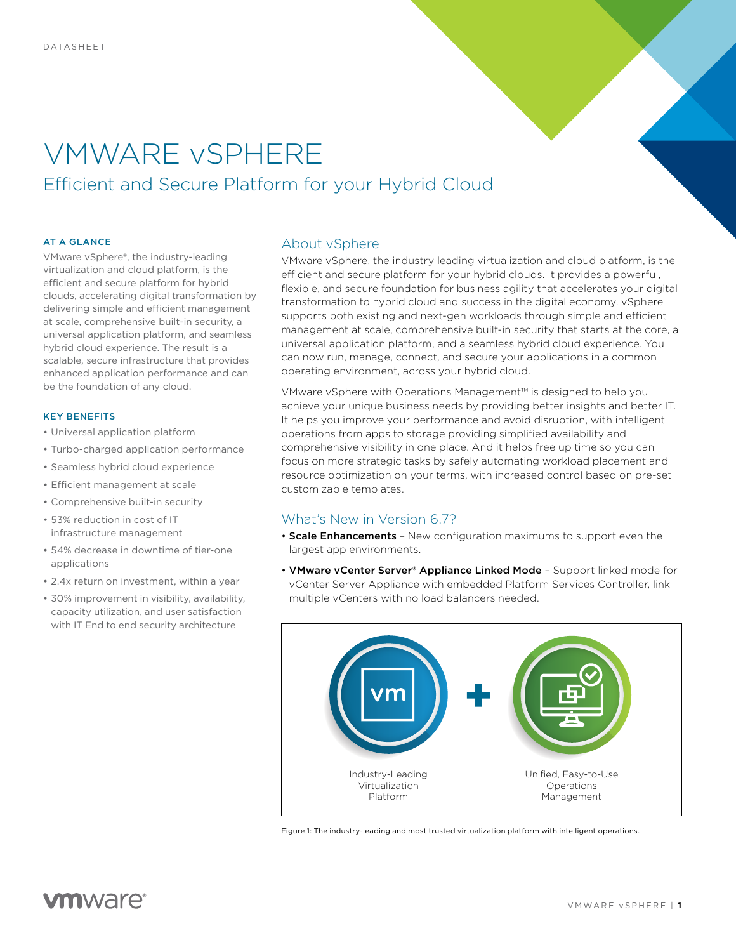# VMWARE vSPHERE Efficient and Secure Platform for your Hybrid Cloud

#### AT A GLANCE

VMware vSphere®, the industry-leading virtualization and cloud platform, is the efficient and secure platform for hybrid clouds, accelerating digital transformation by delivering simple and efficient management at scale, comprehensive built-in security, a universal application platform, and seamless hybrid cloud experience. The result is a scalable, secure infrastructure that provides enhanced application performance and can be the foundation of any cloud.

### KEY BENEFITS

- Universal application platform
- Turbo-charged application performance
- Seamless hybrid cloud experience
- Efficient management at scale
- Comprehensive built-in security
- 53% reduction in cost of IT infrastructure management
- 54% decrease in downtime of tier-one applications
- 2.4x return on investment, within a year
- 30% improvement in visibility, availability, capacity utilization, and user satisfaction with IT End to end security architecture

## About vSphere

VMware vSphere, the industry leading virtualization and cloud platform, is the efficient and secure platform for your hybrid clouds. It provides a powerful, flexible, and secure foundation for business agility that accelerates your digital transformation to hybrid cloud and success in the digital economy. vSphere supports both existing and next-gen workloads through simple and efficient management at scale, comprehensive built-in security that starts at the core, a universal application platform, and a seamless hybrid cloud experience. You can now run, manage, connect, and secure your applications in a common operating environment, across your hybrid cloud.

VMware vSphere with Operations Management™ is designed to help you achieve your unique business needs by providing better insights and better IT. It helps you improve your performance and avoid disruption, with intelligent operations from apps to storage providing simplified availability and comprehensive visibility in one place. And it helps free up time so you can focus on more strategic tasks by safely automating workload placement and resource optimization on your terms, with increased control based on pre-set customizable templates.

# What's New in Version 6.7?

- Scale Enhancements New configuration maximums to support even the largest app environments.
- VMware vCenter Server® Appliance Linked Mode Support linked mode for vCenter Server Appliance with embedded Platform Services Controller, link multiple vCenters with no load balancers needed.



Figure 1: The industry-leading and most trusted virtualization platform with intelligent operations.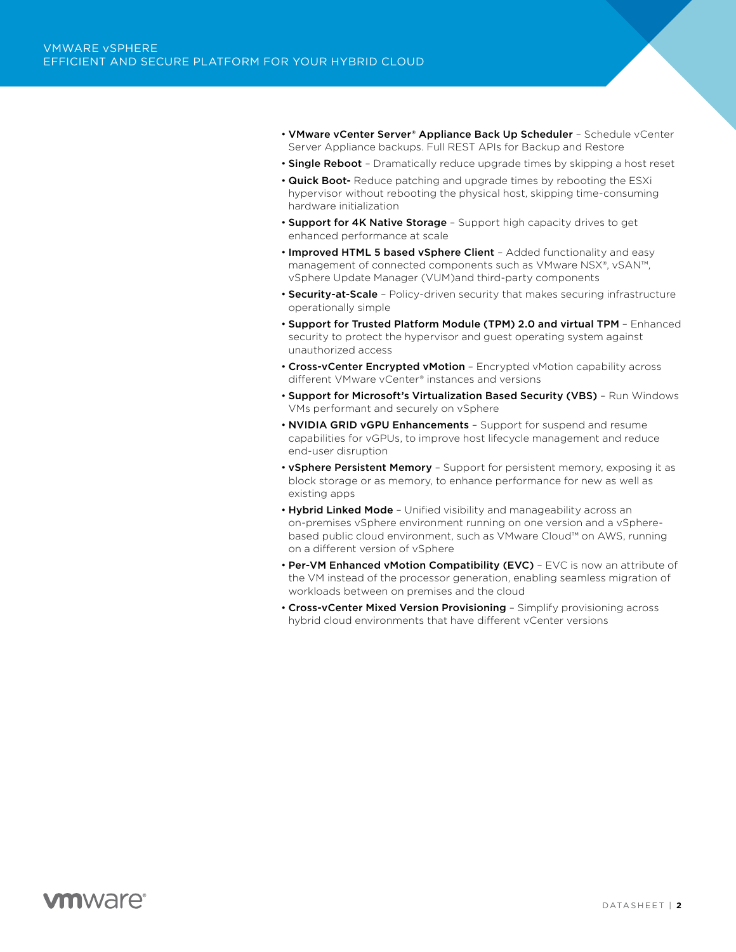- VMware vCenter Server® Appliance Back Up Scheduler Schedule vCenter Server Appliance backups. Full REST APIs for Backup and Restore
- Single Reboot Dramatically reduce upgrade times by skipping a host reset
- Quick Boot- Reduce patching and upgrade times by rebooting the ESXi hypervisor without rebooting the physical host, skipping time-consuming hardware initialization
- Support for 4K Native Storage Support high capacity drives to get enhanced performance at scale
- Improved HTML 5 based vSphere Client Added functionality and easy management of connected components such as VMware NSX®, vSAN™, vSphere Update Manager (VUM)and third-party components
- Security-at-Scale Policy-driven security that makes securing infrastructure operationally simple
- Support for Trusted Platform Module (TPM) 2.0 and virtual TPM Enhanced security to protect the hypervisor and guest operating system against unauthorized access
- Cross-vCenter Encrypted vMotion Encrypted vMotion capability across different VMware vCenter® instances and versions
- Support for Microsoft's Virtualization Based Security (VBS) Run Windows VMs performant and securely on vSphere
- NVIDIA GRID vGPU Enhancements Support for suspend and resume capabilities for vGPUs, to improve host lifecycle management and reduce end-user disruption
- vSphere Persistent Memory Support for persistent memory, exposing it as block storage or as memory, to enhance performance for new as well as existing apps
- Hybrid Linked Mode Unified visibility and manageability across an on-premises vSphere environment running on one version and a vSpherebased public cloud environment, such as VMware Cloud™ on AWS, running on a different version of vSphere
- Per-VM Enhanced vMotion Compatibility (EVC) EVC is now an attribute of the VM instead of the processor generation, enabling seamless migration of workloads between on premises and the cloud
- Cross-vCenter Mixed Version Provisioning Simplify provisioning across hybrid cloud environments that have different vCenter versions

# **vm**ware<sup>®</sup>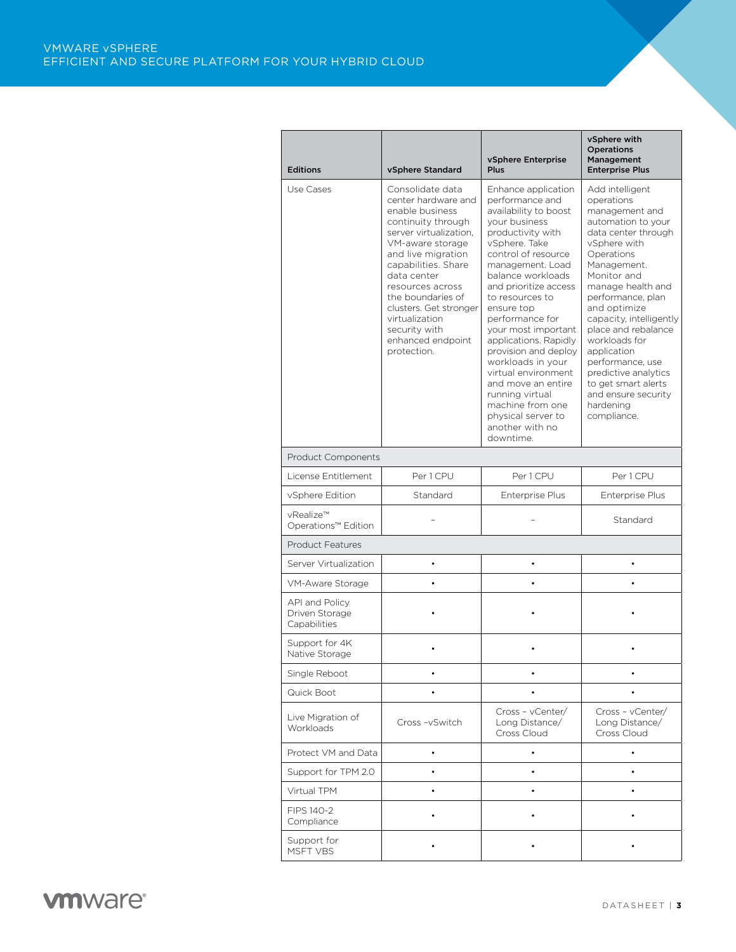| <b>Editions</b>                                  | vSphere Standard                                                                                                                                                                                                                                                                                                                     | vSphere Enterprise<br>Plus                                                                                                                                                                                                                                                                                                                                                                                                                                                                                 | vSphere with<br><b>Operations</b><br>Management<br><b>Enterprise Plus</b>                                                                                                                                                                                                                                                                                                                                                  |  |
|--------------------------------------------------|--------------------------------------------------------------------------------------------------------------------------------------------------------------------------------------------------------------------------------------------------------------------------------------------------------------------------------------|------------------------------------------------------------------------------------------------------------------------------------------------------------------------------------------------------------------------------------------------------------------------------------------------------------------------------------------------------------------------------------------------------------------------------------------------------------------------------------------------------------|----------------------------------------------------------------------------------------------------------------------------------------------------------------------------------------------------------------------------------------------------------------------------------------------------------------------------------------------------------------------------------------------------------------------------|--|
| Use Cases                                        | Consolidate data<br>center hardware and<br>enable business<br>continuity through<br>server virtualization.<br>VM-aware storage<br>and live migration<br>capabilities. Share<br>data center<br>resources across<br>the boundaries of<br>clusters. Get stronger<br>virtualization<br>security with<br>enhanced endpoint<br>protection. | Enhance application<br>performance and<br>availability to boost<br>your business<br>productivity with<br>vSphere. Take<br>control of resource<br>management. Load<br>balance workloads<br>and prioritize access<br>to resources to<br>ensure top<br>performance for<br>your most important<br>applications. Rapidly<br>provision and deploy<br>workloads in your<br>virtual environment<br>and move an entire<br>running virtual<br>machine from one<br>physical server to<br>another with no<br>downtime. | Add intelligent<br>operations<br>management and<br>automation to your<br>data center through<br>vSphere with<br>Operations<br>Management.<br>Monitor and<br>manage health and<br>performance, plan<br>and optimize<br>capacity, intelligently<br>place and rebalance<br>workloads for<br>application<br>performance, use<br>predictive analytics<br>to get smart alerts<br>and ensure security<br>hardening<br>compliance. |  |
| <b>Product Components</b>                        |                                                                                                                                                                                                                                                                                                                                      |                                                                                                                                                                                                                                                                                                                                                                                                                                                                                                            |                                                                                                                                                                                                                                                                                                                                                                                                                            |  |
| License Entitlement                              | Per 1 CPU                                                                                                                                                                                                                                                                                                                            | Per 1 CPU                                                                                                                                                                                                                                                                                                                                                                                                                                                                                                  | Per 1 CPU                                                                                                                                                                                                                                                                                                                                                                                                                  |  |
| vSphere Edition                                  | Standard                                                                                                                                                                                                                                                                                                                             | Enterprise Plus                                                                                                                                                                                                                                                                                                                                                                                                                                                                                            | <b>Enterprise Plus</b>                                                                                                                                                                                                                                                                                                                                                                                                     |  |
| vRealize™<br>Operations™ Edition                 |                                                                                                                                                                                                                                                                                                                                      |                                                                                                                                                                                                                                                                                                                                                                                                                                                                                                            | Standard                                                                                                                                                                                                                                                                                                                                                                                                                   |  |
| <b>Product Features</b>                          |                                                                                                                                                                                                                                                                                                                                      |                                                                                                                                                                                                                                                                                                                                                                                                                                                                                                            |                                                                                                                                                                                                                                                                                                                                                                                                                            |  |
| Server Virtualization                            | ٠                                                                                                                                                                                                                                                                                                                                    |                                                                                                                                                                                                                                                                                                                                                                                                                                                                                                            | ٠                                                                                                                                                                                                                                                                                                                                                                                                                          |  |
| VM-Aware Storage                                 |                                                                                                                                                                                                                                                                                                                                      |                                                                                                                                                                                                                                                                                                                                                                                                                                                                                                            |                                                                                                                                                                                                                                                                                                                                                                                                                            |  |
| API and Policy<br>Driven Storage<br>Capabilities |                                                                                                                                                                                                                                                                                                                                      |                                                                                                                                                                                                                                                                                                                                                                                                                                                                                                            |                                                                                                                                                                                                                                                                                                                                                                                                                            |  |
| Support for 4K<br>Native Storage                 |                                                                                                                                                                                                                                                                                                                                      |                                                                                                                                                                                                                                                                                                                                                                                                                                                                                                            |                                                                                                                                                                                                                                                                                                                                                                                                                            |  |
| Single Reboot                                    |                                                                                                                                                                                                                                                                                                                                      |                                                                                                                                                                                                                                                                                                                                                                                                                                                                                                            |                                                                                                                                                                                                                                                                                                                                                                                                                            |  |
| Quick Boot                                       |                                                                                                                                                                                                                                                                                                                                      |                                                                                                                                                                                                                                                                                                                                                                                                                                                                                                            |                                                                                                                                                                                                                                                                                                                                                                                                                            |  |
| Live Migration of<br>Workloads                   | Cross-vSwitch                                                                                                                                                                                                                                                                                                                        | Cross - vCenter/<br>Long Distance/<br>Cross Cloud                                                                                                                                                                                                                                                                                                                                                                                                                                                          | Cross - vCenter/<br>Long Distance/<br>Cross Cloud                                                                                                                                                                                                                                                                                                                                                                          |  |
| Protect VM and Data                              | $\bullet$                                                                                                                                                                                                                                                                                                                            |                                                                                                                                                                                                                                                                                                                                                                                                                                                                                                            |                                                                                                                                                                                                                                                                                                                                                                                                                            |  |
| Support for TPM 2.0                              | ٠                                                                                                                                                                                                                                                                                                                                    |                                                                                                                                                                                                                                                                                                                                                                                                                                                                                                            |                                                                                                                                                                                                                                                                                                                                                                                                                            |  |
| Virtual TPM                                      |                                                                                                                                                                                                                                                                                                                                      |                                                                                                                                                                                                                                                                                                                                                                                                                                                                                                            |                                                                                                                                                                                                                                                                                                                                                                                                                            |  |
| FIPS 140-2<br>Compliance                         |                                                                                                                                                                                                                                                                                                                                      |                                                                                                                                                                                                                                                                                                                                                                                                                                                                                                            |                                                                                                                                                                                                                                                                                                                                                                                                                            |  |
| Support for<br>MSFT VBS                          |                                                                                                                                                                                                                                                                                                                                      |                                                                                                                                                                                                                                                                                                                                                                                                                                                                                                            |                                                                                                                                                                                                                                                                                                                                                                                                                            |  |